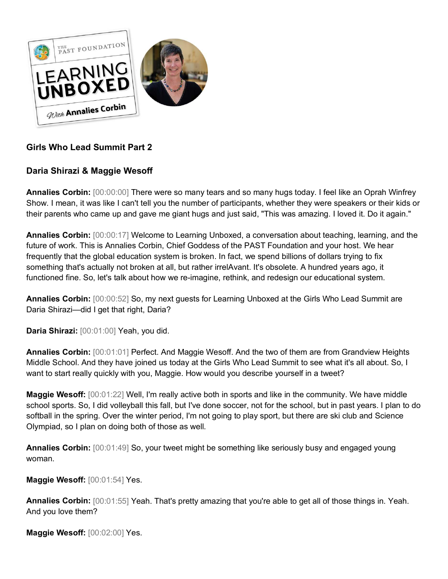

# **Girls Who Lead Summit Part 2**

# **Daria Shirazi & Maggie Wesoff**

**Annalies Corbin:** [00:00:00] There were so many tears and so many hugs today. I feel like an Oprah Winfrey Show. I mean, it was like I can't tell you the number of participants, whether they were speakers or their kids or their parents who came up and gave me giant hugs and just said, "This was amazing. I loved it. Do it again."

**Annalies Corbin:** [00:00:17] Welcome to Learning Unboxed, a conversation about teaching, learning, and the future of work. This is Annalies Corbin, Chief Goddess of the PAST Foundation and your host. We hear frequently that the global education system is broken. In fact, we spend billions of dollars trying to fix something that's actually not broken at all, but rather irrelAvant. It's obsolete. A hundred years ago, it functioned fine. So, let's talk about how we re-imagine, rethink, and redesign our educational system.

**Annalies Corbin:** [00:00:52] So, my next guests for Learning Unboxed at the Girls Who Lead Summit are Daria Shirazi—did I get that right, Daria?

**Daria Shirazi:** [00:01:00] Yeah, you did.

**Annalies Corbin:** [00:01:01] Perfect. And Maggie Wesoff. And the two of them are from Grandview Heights Middle School. And they have joined us today at the Girls Who Lead Summit to see what it's all about. So, I want to start really quickly with you, Maggie. How would you describe yourself in a tweet?

**Maggie Wesoff:** [00:01:22] Well, I'm really active both in sports and like in the community. We have middle school sports. So, I did volleyball this fall, but I've done soccer, not for the school, but in past years. I plan to do softball in the spring. Over the winter period, I'm not going to play sport, but there are ski club and Science Olympiad, so I plan on doing both of those as well.

**Annalies Corbin:** [00:01:49] So, your tweet might be something like seriously busy and engaged young woman.

**Maggie Wesoff:** [00:01:54] Yes.

**Annalies Corbin:** [00:01:55] Yeah. That's pretty amazing that you're able to get all of those things in. Yeah. And you love them?

**Maggie Wesoff:** [00:02:00] Yes.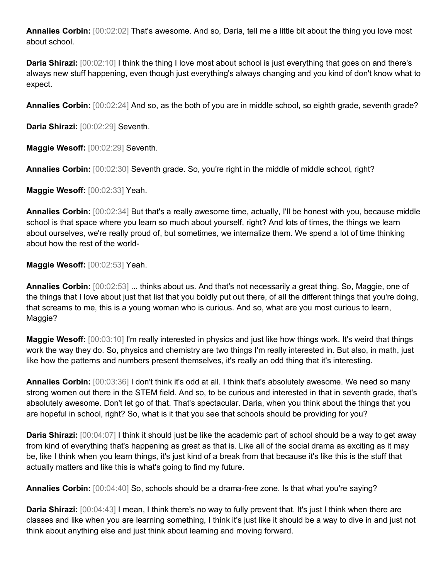**Annalies Corbin:** [00:02:02] That's awesome. And so, Daria, tell me a little bit about the thing you love most about school.

**Daria Shirazi:** [00:02:10] I think the thing I love most about school is just everything that goes on and there's always new stuff happening, even though just everything's always changing and you kind of don't know what to expect.

**Annalies Corbin:** [00:02:24] And so, as the both of you are in middle school, so eighth grade, seventh grade?

**Daria Shirazi:** [00:02:29] Seventh.

**Maggie Wesoff:** [00:02:29] Seventh.

**Annalies Corbin:** [00:02:30] Seventh grade. So, you're right in the middle of middle school, right?

**Maggie Wesoff:** [00:02:33] Yeah.

**Annalies Corbin:** [00:02:34] But that's a really awesome time, actually, I'll be honest with you, because middle school is that space where you learn so much about yourself, right? And lots of times, the things we learn about ourselves, we're really proud of, but sometimes, we internalize them. We spend a lot of time thinking about how the rest of the world-

**Maggie Wesoff:** [00:02:53] Yeah.

**Annalies Corbin:** [00:02:53] ... thinks about us. And that's not necessarily a great thing. So, Maggie, one of the things that I love about just that list that you boldly put out there, of all the different things that you're doing, that screams to me, this is a young woman who is curious. And so, what are you most curious to learn, Maggie?

**Maggie Wesoff:** [00:03:10] I'm really interested in physics and just like how things work. It's weird that things work the way they do. So, physics and chemistry are two things I'm really interested in. But also, in math, just like how the patterns and numbers present themselves, it's really an odd thing that it's interesting.

**Annalies Corbin:** [00:03:36] I don't think it's odd at all. I think that's absolutely awesome. We need so many strong women out there in the STEM field. And so, to be curious and interested in that in seventh grade, that's absolutely awesome. Don't let go of that. That's spectacular. Daria, when you think about the things that you are hopeful in school, right? So, what is it that you see that schools should be providing for you?

**Daria Shirazi:** [00:04:07] I think it should just be like the academic part of school should be a way to get away from kind of everything that's happening as great as that is. Like all of the social drama as exciting as it may be, like I think when you learn things, it's just kind of a break from that because it's like this is the stuff that actually matters and like this is what's going to find my future.

**Annalies Corbin:** [00:04:40] So, schools should be a drama-free zone. Is that what you're saying?

**Daria Shirazi:** [00:04:43] I mean, I think there's no way to fully prevent that. It's just I think when there are classes and like when you are learning something, I think it's just like it should be a way to dive in and just not think about anything else and just think about learning and moving forward.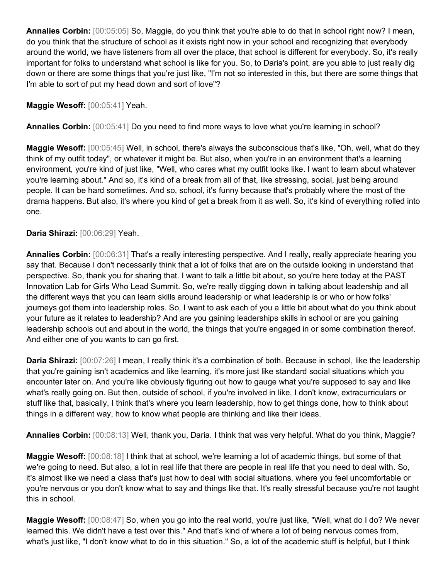**Annalies Corbin:** [00:05:05] So, Maggie, do you think that you're able to do that in school right now? I mean, do you think that the structure of school as it exists right now in your school and recognizing that everybody around the world, we have listeners from all over the place, that school is different for everybody. So, it's really important for folks to understand what school is like for you. So, to Daria's point, are you able to just really dig down or there are some things that you're just like, "I'm not so interested in this, but there are some things that I'm able to sort of put my head down and sort of love"?

**Maggie Wesoff:** [00:05:41] Yeah.

**Annalies Corbin:** [00:05:41] Do you need to find more ways to love what you're learning in school?

**Maggie Wesoff:** [00:05:45] Well, in school, there's always the subconscious that's like, "Oh, well, what do they think of my outfit today", or whatever it might be. But also, when you're in an environment that's a learning environment, you're kind of just like, "Well, who cares what my outfit looks like. I want to learn about whatever you're learning about." And so, it's kind of a break from all of that, like stressing, social, just being around people. It can be hard sometimes. And so, school, it's funny because that's probably where the most of the drama happens. But also, it's where you kind of get a break from it as well. So, it's kind of everything rolled into one.

#### **Daria Shirazi:** [00:06:29] Yeah.

**Annalies Corbin:**  $[00:06:31]$  That's a really interesting perspective. And I really, really appreciate hearing you say that. Because I don't necessarily think that a lot of folks that are on the outside looking in understand that perspective. So, thank you for sharing that. I want to talk a little bit about, so you're here today at the PAST Innovation Lab for Girls Who Lead Summit. So, we're really digging down in talking about leadership and all the different ways that you can learn skills around leadership or what leadership is or who or how folks' journeys got them into leadership roles. So, I want to ask each of you a little bit about what do you think about your future as it relates to leadership? And are you gaining leaderships skills in school or are you gaining leadership schools out and about in the world, the things that you're engaged in or some combination thereof. And either one of you wants to can go first.

**Daria Shirazi:** [00:07:26] I mean, I really think it's a combination of both. Because in school, like the leadership that you're gaining isn't academics and like learning, it's more just like standard social situations which you encounter later on. And you're like obviously figuring out how to gauge what you're supposed to say and like what's really going on. But then, outside of school, if you're involved in like, I don't know, extracurriculars or stuff like that, basically, I think that's where you learn leadership, how to get things done, how to think about things in a different way, how to know what people are thinking and like their ideas.

**Annalies Corbin:** [00:08:13] Well, thank you, Daria. I think that was very helpful. What do you think, Maggie?

**Maggie Wesoff:** [00:08:18] I think that at school, we're learning a lot of academic things, but some of that we're going to need. But also, a lot in real life that there are people in real life that you need to deal with. So, it's almost like we need a class that's just how to deal with social situations, where you feel uncomfortable or you're nervous or you don't know what to say and things like that. It's really stressful because you're not taught this in school.

**Maggie Wesoff:** [00:08:47] So, when you go into the real world, you're just like, "Well, what do I do? We never learned this. We didn't have a test over this." And that's kind of where a lot of being nervous comes from, what's just like, "I don't know what to do in this situation." So, a lot of the academic stuff is helpful, but I think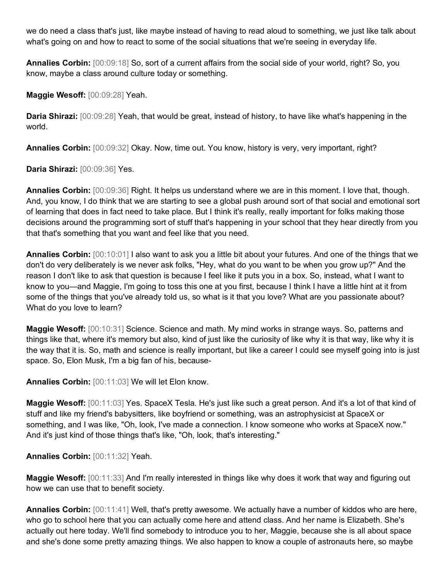we do need a class that's just, like maybe instead of having to read aloud to something, we just like talk about what's going on and how to react to some of the social situations that we're seeing in everyday life.

**Annalies Corbin:** [00:09:18] So, sort of a current affairs from the social side of your world, right? So, you know, maybe a class around culture today or something.

**Maggie Wesoff:** [00:09:28] Yeah.

**Daria Shirazi:** [00:09:28] Yeah, that would be great, instead of history, to have like what's happening in the world.

**Annalies Corbin:** [00:09:32] Okay. Now, time out. You know, history is very, very important, right?

**Daria Shirazi:** [00:09:36] Yes.

**Annalies Corbin:** [00:09:36] Right. It helps us understand where we are in this moment. I love that, though. And, you know, I do think that we are starting to see a global push around sort of that social and emotional sort of learning that does in fact need to take place. But I think it's really, really important for folks making those decisions around the programming sort of stuff that's happening in your school that they hear directly from you that that's something that you want and feel like that you need.

**Annalies Corbin:** [00:10:01] I also want to ask you a little bit about your futures. And one of the things that we don't do very deliberately is we never ask folks, "Hey, what do you want to be when you grow up?" And the reason I don't like to ask that question is because I feel like it puts you in a box. So, instead, what I want to know to you—and Maggie, I'm going to toss this one at you first, because I think I have a little hint at it from some of the things that you've already told us, so what is it that you love? What are you passionate about? What do you love to learn?

**Maggie Wesoff:** [00:10:31] Science. Science and math. My mind works in strange ways. So, patterns and things like that, where it's memory but also, kind of just like the curiosity of like why it is that way, like why it is the way that it is. So, math and science is really important, but like a career I could see myself going into is just space. So, Elon Musk, I'm a big fan of his, because-

**Annalies Corbin:** [00:11:03] We will let Elon know.

**Maggie Wesoff:** [00:11:03] Yes. SpaceX Tesla. He's just like such a great person. And it's a lot of that kind of stuff and like my friend's babysitters, like boyfriend or something, was an astrophysicist at SpaceX or something, and I was like, "Oh, look, I've made a connection. I know someone who works at SpaceX now." And it's just kind of those things that's like, "Oh, look, that's interesting."

**Annalies Corbin:** [00:11:32] Yeah.

**Maggie Wesoff:** [00:11:33] And I'm really interested in things like why does it work that way and figuring out how we can use that to benefit society.

**Annalies Corbin:** [00:11:41] Well, that's pretty awesome. We actually have a number of kiddos who are here, who go to school here that you can actually come here and attend class. And her name is Elizabeth. She's actually out here today. We'll find somebody to introduce you to her, Maggie, because she is all about space and she's done some pretty amazing things. We also happen to know a couple of astronauts here, so maybe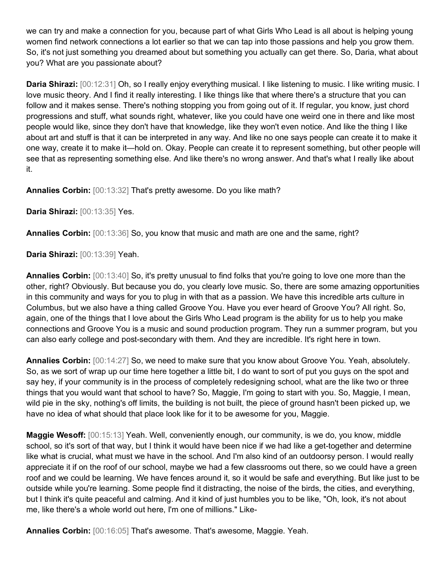we can try and make a connection for you, because part of what Girls Who Lead is all about is helping young women find network connections a lot earlier so that we can tap into those passions and help you grow them. So, it's not just something you dreamed about but something you actually can get there. So, Daria, what about you? What are you passionate about?

**Daria Shirazi:** [00:12:31] Oh, so I really enjoy everything musical. I like listening to music. I like writing music. I love music theory. And I find it really interesting. I like things like that where there's a structure that you can follow and it makes sense. There's nothing stopping you from going out of it. If regular, you know, just chord progressions and stuff, what sounds right, whatever, like you could have one weird one in there and like most people would like, since they don't have that knowledge, like they won't even notice. And like the thing I like about art and stuff is that it can be interpreted in any way. And like no one says people can create it to make it one way, create it to make it—hold on. Okay. People can create it to represent something, but other people will see that as representing something else. And like there's no wrong answer. And that's what I really like about it.

**Annalies Corbin:** [00:13:32] That's pretty awesome. Do you like math?

**Daria Shirazi:** [00:13:35] Yes.

**Annalies Corbin:** [00:13:36] So, you know that music and math are one and the same, right?

**Daria Shirazi:** [00:13:39] Yeah.

**Annalies Corbin:** [00:13:40] So, it's pretty unusual to find folks that you're going to love one more than the other, right? Obviously. But because you do, you clearly love music. So, there are some amazing opportunities in this community and ways for you to plug in with that as a passion. We have this incredible arts culture in Columbus, but we also have a thing called Groove You. Have you ever heard of Groove You? All right. So, again, one of the things that I love about the Girls Who Lead program is the ability for us to help you make connections and Groove You is a music and sound production program. They run a summer program, but you can also early college and post-secondary with them. And they are incredible. It's right here in town.

**Annalies Corbin:** [00:14:27] So, we need to make sure that you know about Groove You. Yeah, absolutely. So, as we sort of wrap up our time here together a little bit, I do want to sort of put you guys on the spot and say hey, if your community is in the process of completely redesigning school, what are the like two or three things that you would want that school to have? So, Maggie, I'm going to start with you. So, Maggie, I mean, wild pie in the sky, nothing's off limits, the building is not built, the piece of ground hasn't been picked up, we have no idea of what should that place look like for it to be awesome for you, Maggie.

**Maggie Wesoff:** [00:15:13] Yeah. Well, conveniently enough, our community, is we do, you know, middle school, so it's sort of that way, but I think it would have been nice if we had like a get-together and determine like what is crucial, what must we have in the school. And I'm also kind of an outdoorsy person. I would really appreciate it if on the roof of our school, maybe we had a few classrooms out there, so we could have a green roof and we could be learning. We have fences around it, so it would be safe and everything. But like just to be outside while you're learning. Some people find it distracting, the noise of the birds, the cities, and everything, but I think it's quite peaceful and calming. And it kind of just humbles you to be like, "Oh, look, it's not about me, like there's a whole world out here, I'm one of millions." Like-

**Annalies Corbin:** [00:16:05] That's awesome. That's awesome, Maggie. Yeah.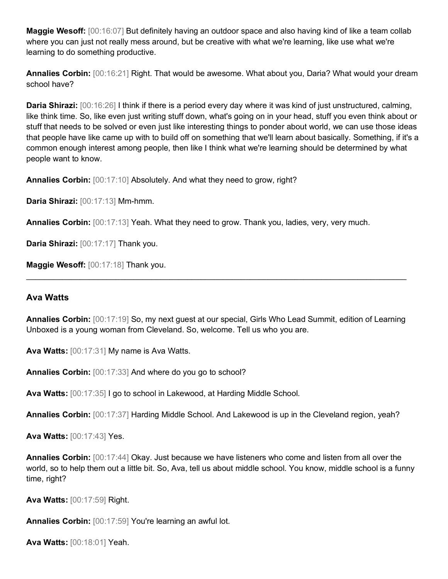**Maggie Wesoff:** [00:16:07] But definitely having an outdoor space and also having kind of like a team collab where you can just not really mess around, but be creative with what we're learning, like use what we're learning to do something productive.

**Annalies Corbin:** [00:16:21] Right. That would be awesome. What about you, Daria? What would your dream school have?

**Daria Shirazi:** [00:16:26] I think if there is a period every day where it was kind of just unstructured, calming, like think time. So, like even just writing stuff down, what's going on in your head, stuff you even think about or stuff that needs to be solved or even just like interesting things to ponder about world, we can use those ideas that people have like came up with to build off on something that we'll learn about basically. Something, if it's a common enough interest among people, then like I think what we're learning should be determined by what people want to know.

**Annalies Corbin:** [00:17:10] Absolutely. And what they need to grow, right?

**Daria Shirazi:** [00:17:13] Mm-hmm.

**Annalies Corbin:** [00:17:13] Yeah. What they need to grow. Thank you, ladies, very, very much.

**Daria Shirazi:** [00:17:17] Thank you.

**Maggie Wesoff:** [00:17:18] Thank you.

#### **Ava Watts**

**Annalies Corbin:** [00:17:19] So, my next guest at our special, Girls Who Lead Summit, edition of Learning Unboxed is a young woman from Cleveland. So, welcome. Tell us who you are.

 $\_$  , and the set of the set of the set of the set of the set of the set of the set of the set of the set of the set of the set of the set of the set of the set of the set of the set of the set of the set of the set of th

**Ava Watts:** [00:17:31] My name is Ava Watts.

**Annalies Corbin:** [00:17:33] And where do you go to school?

**Ava Watts:** [00:17:35] I go to school in Lakewood, at Harding Middle School.

**Annalies Corbin:** [00:17:37] Harding Middle School. And Lakewood is up in the Cleveland region, yeah?

**Ava Watts:** [00:17:43] Yes.

**Annalies Corbin:** [00:17:44] Okay. Just because we have listeners who come and listen from all over the world, so to help them out a little bit. So, Ava, tell us about middle school. You know, middle school is a funny time, right?

**Ava Watts:** [00:17:59] Right.

**Annalies Corbin:** [00:17:59] You're learning an awful lot.

**Ava Watts:** [00:18:01] Yeah.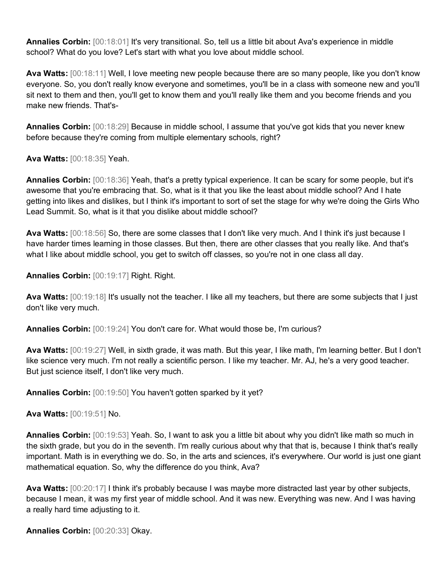**Annalies Corbin:** [00:18:01] It's very transitional. So, tell us a little bit about Ava's experience in middle school? What do you love? Let's start with what you love about middle school.

**Ava Watts:** [00:18:11] Well, I love meeting new people because there are so many people, like you don't know everyone. So, you don't really know everyone and sometimes, you'll be in a class with someone new and you'll sit next to them and then, you'll get to know them and you'll really like them and you become friends and you make new friends. That's-

**Annalies Corbin:** [00:18:29] Because in middle school, I assume that you've got kids that you never knew before because they're coming from multiple elementary schools, right?

**Ava Watts:** [00:18:35] Yeah.

**Annalies Corbin:** [00:18:36] Yeah, that's a pretty typical experience. It can be scary for some people, but it's awesome that you're embracing that. So, what is it that you like the least about middle school? And I hate getting into likes and dislikes, but I think it's important to sort of set the stage for why we're doing the Girls Who Lead Summit. So, what is it that you dislike about middle school?

**Ava Watts:** [00:18:56] So, there are some classes that I don't like very much. And I think it's just because I have harder times learning in those classes. But then, there are other classes that you really like. And that's what I like about middle school, you get to switch off classes, so you're not in one class all day.

**Annalies Corbin:** [00:19:17] Right. Right.

**Ava Watts:** [00:19:18] It's usually not the teacher. I like all my teachers, but there are some subjects that I just don't like very much.

**Annalies Corbin:** [00:19:24] You don't care for. What would those be, I'm curious?

**Ava Watts:** [00:19:27] Well, in sixth grade, it was math. But this year, I like math, I'm learning better. But I don't like science very much. I'm not really a scientific person. I like my teacher. Mr. AJ, he's a very good teacher. But just science itself, I don't like very much.

**Annalies Corbin:** [00:19:50] You haven't gotten sparked by it yet?

**Ava Watts:** [00:19:51] No.

**Annalies Corbin:** [00:19:53] Yeah. So, I want to ask you a little bit about why you didn't like math so much in the sixth grade, but you do in the seventh. I'm really curious about why that that is, because I think that's really important. Math is in everything we do. So, in the arts and sciences, it's everywhere. Our world is just one giant mathematical equation. So, why the difference do you think, Ava?

**Ava Watts:** [00:20:17] I think it's probably because I was maybe more distracted last year by other subjects, because I mean, it was my first year of middle school. And it was new. Everything was new. And I was having a really hard time adjusting to it.

**Annalies Corbin:** [00:20:33] Okay.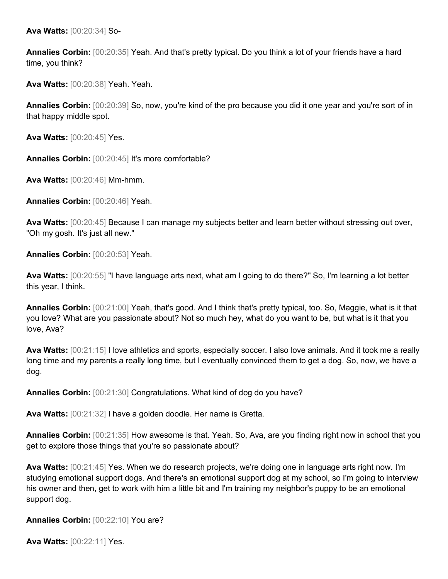**Ava Watts:** [00:20:34] So-

**Annalies Corbin:** [00:20:35] Yeah. And that's pretty typical. Do you think a lot of your friends have a hard time, you think?

**Ava Watts:** [00:20:38] Yeah. Yeah.

**Annalies Corbin:** [00:20:39] So, now, you're kind of the pro because you did it one year and you're sort of in that happy middle spot.

**Ava Watts:** [00:20:45] Yes.

**Annalies Corbin:** [00:20:45] It's more comfortable?

**Ava Watts:** [00:20:46] Mm-hmm.

**Annalies Corbin:** [00:20:46] Yeah.

**Ava Watts:** [00:20:45] Because I can manage my subjects better and learn better without stressing out over, "Oh my gosh. It's just all new."

**Annalies Corbin:** [00:20:53] Yeah.

**Ava Watts:** [00:20:55] "I have language arts next, what am I going to do there?" So, I'm learning a lot better this year, I think.

**Annalies Corbin:** [00:21:00] Yeah, that's good. And I think that's pretty typical, too. So, Maggie, what is it that you love? What are you passionate about? Not so much hey, what do you want to be, but what is it that you love, Ava?

**Ava Watts:** [00:21:15] I love athletics and sports, especially soccer. I also love animals. And it took me a really long time and my parents a really long time, but I eventually convinced them to get a dog. So, now, we have a dog.

**Annalies Corbin:** [00:21:30] Congratulations. What kind of dog do you have?

**Ava Watts:** [00:21:32] I have a golden doodle. Her name is Gretta.

**Annalies Corbin:** [00:21:35] How awesome is that. Yeah. So, Ava, are you finding right now in school that you get to explore those things that you're so passionate about?

**Ava Watts:** [00:21:45] Yes. When we do research projects, we're doing one in language arts right now. I'm studying emotional support dogs. And there's an emotional support dog at my school, so I'm going to interview his owner and then, get to work with him a little bit and I'm training my neighbor's puppy to be an emotional support dog.

**Annalies Corbin:** [00:22:10] You are?

**Ava Watts:** [00:22:11] Yes.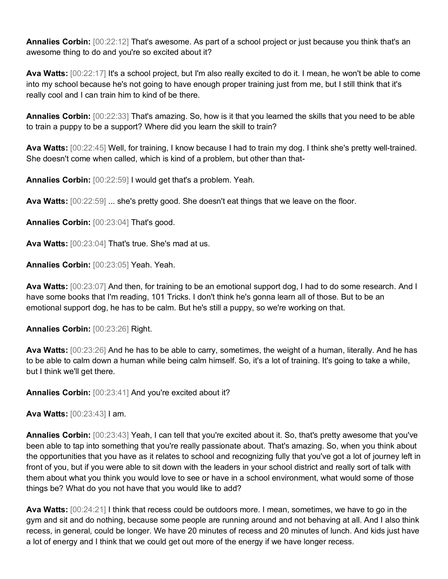**Annalies Corbin:** [00:22:12] That's awesome. As part of a school project or just because you think that's an awesome thing to do and you're so excited about it?

**Ava Watts:** [00:22:17] It's a school project, but I'm also really excited to do it. I mean, he won't be able to come into my school because he's not going to have enough proper training just from me, but I still think that it's really cool and I can train him to kind of be there.

**Annalies Corbin:** [00:22:33] That's amazing. So, how is it that you learned the skills that you need to be able to train a puppy to be a support? Where did you learn the skill to train?

**Ava Watts:** [00:22:45] Well, for training, I know because I had to train my dog. I think she's pretty well-trained. She doesn't come when called, which is kind of a problem, but other than that-

**Annalies Corbin:** [00:22:59] I would get that's a problem. Yeah.

**Ava Watts:** [00:22:59] ... she's pretty good. She doesn't eat things that we leave on the floor.

**Annalies Corbin:** [00:23:04] That's good.

**Ava Watts:** [00:23:04] That's true. She's mad at us.

**Annalies Corbin:** [00:23:05] Yeah. Yeah.

**Ava Watts:** [00:23:07] And then, for training to be an emotional support dog, I had to do some research. And I have some books that I'm reading, 101 Tricks. I don't think he's gonna learn all of those. But to be an emotional support dog, he has to be calm. But he's still a puppy, so we're working on that.

**Annalies Corbin:** [00:23:26] Right.

**Ava Watts:** [00:23:26] And he has to be able to carry, sometimes, the weight of a human, literally. And he has to be able to calm down a human while being calm himself. So, it's a lot of training. It's going to take a while, but I think we'll get there.

**Annalies Corbin:** [00:23:41] And you're excited about it?

**Ava Watts:** [00:23:43] I am.

**Annalies Corbin:** [00:23:43] Yeah, I can tell that you're excited about it. So, that's pretty awesome that you've been able to tap into something that you're really passionate about. That's amazing. So, when you think about the opportunities that you have as it relates to school and recognizing fully that you've got a lot of journey left in front of you, but if you were able to sit down with the leaders in your school district and really sort of talk with them about what you think you would love to see or have in a school environment, what would some of those things be? What do you not have that you would like to add?

**Ava Watts:** [00:24:21] I think that recess could be outdoors more. I mean, sometimes, we have to go in the gym and sit and do nothing, because some people are running around and not behaving at all. And I also think recess, in general, could be longer. We have 20 minutes of recess and 20 minutes of lunch. And kids just have a lot of energy and I think that we could get out more of the energy if we have longer recess.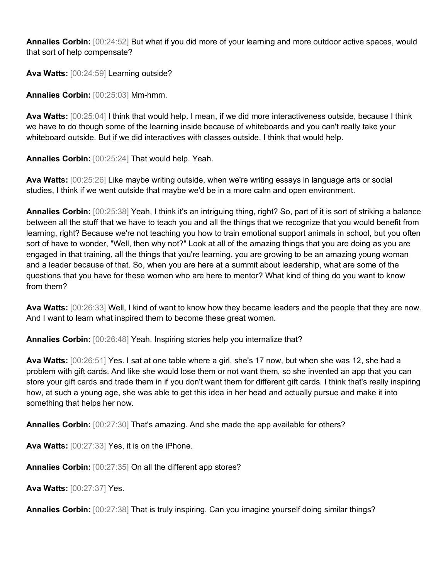**Annalies Corbin:** [00:24:52] But what if you did more of your learning and more outdoor active spaces, would that sort of help compensate?

**Ava Watts:** [00:24:59] Learning outside?

**Annalies Corbin:** [00:25:03] Mm-hmm.

**Ava Watts:** [00:25:04] I think that would help. I mean, if we did more interactiveness outside, because I think we have to do though some of the learning inside because of whiteboards and you can't really take your whiteboard outside. But if we did interactives with classes outside, I think that would help.

**Annalies Corbin:** [00:25:24] That would help. Yeah.

**Ava Watts:** [00:25:26] Like maybe writing outside, when we're writing essays in language arts or social studies, I think if we went outside that maybe we'd be in a more calm and open environment.

**Annalies Corbin:** [00:25:38] Yeah, I think it's an intriguing thing, right? So, part of it is sort of striking a balance between all the stuff that we have to teach you and all the things that we recognize that you would benefit from learning, right? Because we're not teaching you how to train emotional support animals in school, but you often sort of have to wonder, "Well, then why not?" Look at all of the amazing things that you are doing as you are engaged in that training, all the things that you're learning, you are growing to be an amazing young woman and a leader because of that. So, when you are here at a summit about leadership, what are some of the questions that you have for these women who are here to mentor? What kind of thing do you want to know from them?

**Ava Watts:** [00:26:33] Well, I kind of want to know how they became leaders and the people that they are now. And I want to learn what inspired them to become these great women.

**Annalies Corbin:** [00:26:48] Yeah. Inspiring stories help you internalize that?

**Ava Watts:** [00:26:51] Yes. I sat at one table where a girl, she's 17 now, but when she was 12, she had a problem with gift cards. And like she would lose them or not want them, so she invented an app that you can store your gift cards and trade them in if you don't want them for different gift cards. I think that's really inspiring how, at such a young age, she was able to get this idea in her head and actually pursue and make it into something that helps her now.

**Annalies Corbin:** [00:27:30] That's amazing. And she made the app available for others?

**Ava Watts:** [00:27:33] Yes, it is on the iPhone.

**Annalies Corbin:** [00:27:35] On all the different app stores?

**Ava Watts:** [00:27:37] Yes.

**Annalies Corbin:** [00:27:38] That is truly inspiring. Can you imagine yourself doing similar things?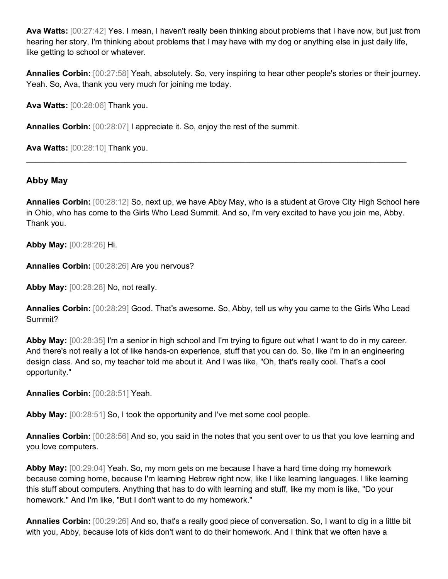**Ava Watts:** [00:27:42] Yes. I mean, I haven't really been thinking about problems that I have now, but just from hearing her story, I'm thinking about problems that I may have with my dog or anything else in just daily life, like getting to school or whatever.

**Annalies Corbin:** [00:27:58] Yeah, absolutely. So, very inspiring to hear other people's stories or their journey. Yeah. So, Ava, thank you very much for joining me today.

**Ava Watts:** [00:28:06] Thank you.

**Annalies Corbin:** [00:28:07] I appreciate it. So, enjoy the rest of the summit.

**Ava Watts:** [00:28:10] Thank you.

### **Abby May**

**Annalies Corbin:** [00:28:12] So, next up, we have Abby May, who is a student at Grove City High School here in Ohio, who has come to the Girls Who Lead Summit. And so, I'm very excited to have you join me, Abby. Thank you.

 $\_$  , and the set of the set of the set of the set of the set of the set of the set of the set of the set of the set of the set of the set of the set of the set of the set of the set of the set of the set of the set of th

**Abby May:** [00:28:26] Hi.

**Annalies Corbin:** [00:28:26] Are you nervous?

**Abby May:** [00:28:28] No, not really.

**Annalies Corbin:** [00:28:29] Good. That's awesome. So, Abby, tell us why you came to the Girls Who Lead Summit?

**Abby May:** [00:28:35] I'm a senior in high school and I'm trying to figure out what I want to do in my career. And there's not really a lot of like hands-on experience, stuff that you can do. So, like I'm in an engineering design class. And so, my teacher told me about it. And I was like, "Oh, that's really cool. That's a cool opportunity."

**Annalies Corbin:** [00:28:51] Yeah.

**Abby May:** [00:28:51] So, I took the opportunity and I've met some cool people.

**Annalies Corbin:** [00:28:56] And so, you said in the notes that you sent over to us that you love learning and you love computers.

**Abby May:** [00:29:04] Yeah. So, my mom gets on me because I have a hard time doing my homework because coming home, because I'm learning Hebrew right now, like I like learning languages. I like learning this stuff about computers. Anything that has to do with learning and stuff, like my mom is like, "Do your homework." And I'm like, "But I don't want to do my homework."

**Annalies Corbin:** [00:29:26] And so, that's a really good piece of conversation. So, I want to dig in a little bit with you, Abby, because lots of kids don't want to do their homework. And I think that we often have a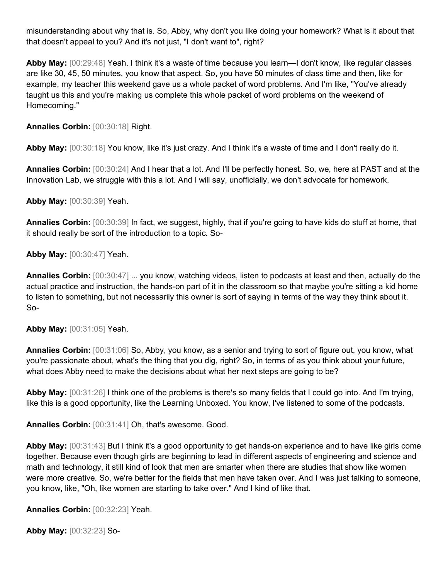misunderstanding about why that is. So, Abby, why don't you like doing your homework? What is it about that that doesn't appeal to you? And it's not just, "I don't want to", right?

**Abby May:** [00:29:48] Yeah. I think it's a waste of time because you learn—I don't know, like regular classes are like 30, 45, 50 minutes, you know that aspect. So, you have 50 minutes of class time and then, like for example, my teacher this weekend gave us a whole packet of word problems. And I'm like, "You've already taught us this and you're making us complete this whole packet of word problems on the weekend of Homecoming."

**Annalies Corbin:** [00:30:18] Right.

**Abby May:** [00:30:18] You know, like it's just crazy. And I think it's a waste of time and I don't really do it.

**Annalies Corbin:** [00:30:24] And I hear that a lot. And I'll be perfectly honest. So, we, here at PAST and at the Innovation Lab, we struggle with this a lot. And I will say, unofficially, we don't advocate for homework.

**Abby May:** [00:30:39] Yeah.

**Annalies Corbin:** [00:30:39] In fact, we suggest, highly, that if you're going to have kids do stuff at home, that it should really be sort of the introduction to a topic. So-

**Abby May:** [00:30:47] Yeah.

**Annalies Corbin:** [00:30:47] ... you know, watching videos, listen to podcasts at least and then, actually do the actual practice and instruction, the hands-on part of it in the classroom so that maybe you're sitting a kid home to listen to something, but not necessarily this owner is sort of saying in terms of the way they think about it. So-

**Abby May:** [00:31:05] Yeah.

**Annalies Corbin:** [00:31:06] So, Abby, you know, as a senior and trying to sort of figure out, you know, what you're passionate about, what's the thing that you dig, right? So, in terms of as you think about your future, what does Abby need to make the decisions about what her next steps are going to be?

**Abby May:** [00:31:26] I think one of the problems is there's so many fields that I could go into. And I'm trying, like this is a good opportunity, like the Learning Unboxed. You know, I've listened to some of the podcasts.

**Annalies Corbin:** [00:31:41] Oh, that's awesome. Good.

**Abby May:** [00:31:43] But I think it's a good opportunity to get hands-on experience and to have like girls come together. Because even though girls are beginning to lead in different aspects of engineering and science and math and technology, it still kind of look that men are smarter when there are studies that show like women were more creative. So, we're better for the fields that men have taken over. And I was just talking to someone, you know, like, "Oh, like women are starting to take over." And I kind of like that.

**Annalies Corbin:** [00:32:23] Yeah.

**Abby May:** [00:32:23] So-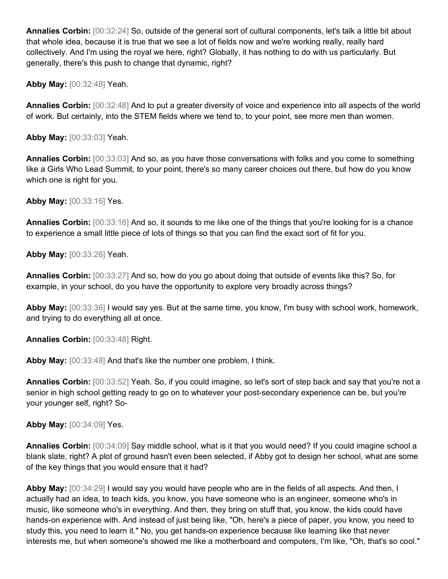**Annalies Corbin:** [00:32:24] So, outside of the general sort of cultural components, let's talk a little bit about that whole idea, because it is true that we see a lot of fields now and we're working really, really hard collectively. And I'm using the royal we here, right? Globally, it has nothing to do with us particularly. But generally, there's this push to change that dynamic, right?

**Abby May:** [00:32:48] Yeah.

**Annalies Corbin:** [00:32:48] And to put a greater diversity of voice and experience into all aspects of the world of work. But certainly, into the STEM fields where we tend to, to your point, see more men than women.

**Abby May:** [00:33:03] Yeah.

**Annalies Corbin:** [00:33:03] And so, as you have those conversations with folks and you come to something like a Girls Who Lead Summit, to your point, there's so many career choices out there, but how do you know which one is right for you.

**Abby May:** [00:33:16] Yes.

**Annalies Corbin:** [00:33:16] And so, it sounds to me like one of the things that you're looking for is a chance to experience a small little piece of lots of things so that you can find the exact sort of fit for you.

**Abby May:** [00:33:26] Yeah.

**Annalies Corbin:** [00:33:27] And so, how do you go about doing that outside of events like this? So, for example, in your school, do you have the opportunity to explore very broadly across things?

**Abby May:** [00:33:36] I would say yes. But at the same time, you know, I'm busy with school work, homework, and trying to do everything all at once.

**Annalies Corbin:** [00:33:48] Right.

**Abby May:** [00:33:48] And that's like the number one problem, I think.

**Annalies Corbin:** [00:33:52] Yeah. So, if you could imagine, so let's sort of step back and say that you're not a senior in high school getting ready to go on to whatever your post-secondary experience can be, but you're your younger self, right? So-

**Abby May:** [00:34:09] Yes.

**Annalies Corbin:** [00:34:09] Say middle school, what is it that you would need? If you could imagine school a blank slate, right? A plot of ground hasn't even been selected, if Abby got to design her school, what are some of the key things that you would ensure that it had?

**Abby May:** [00:34:29] I would say you would have people who are in the fields of all aspects. And then, I actually had an idea, to teach kids, you know, you have someone who is an engineer, someone who's in music, like someone who's in everything. And then, they bring on stuff that, you know, the kids could have hands-on experience with. And instead of just being like, "Oh, here's a piece of paper, you know, you need to study this, you need to learn it." No, you get hands-on experience because like learning like that never interests me, but when someone's showed me like a motherboard and computers, I'm like, "Oh, that's so cool."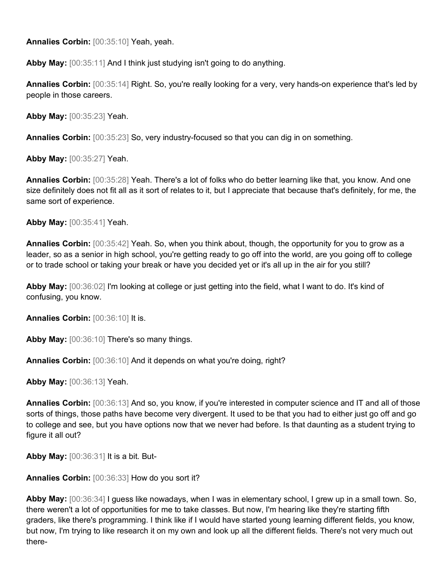**Annalies Corbin:** [00:35:10] Yeah, yeah.

**Abby May:** [00:35:11] And I think just studying isn't going to do anything.

**Annalies Corbin:** [00:35:14] Right. So, you're really looking for a very, very hands-on experience that's led by people in those careers.

**Abby May:** [00:35:23] Yeah.

**Annalies Corbin:** [00:35:23] So, very industry-focused so that you can dig in on something.

**Abby May:** [00:35:27] Yeah.

**Annalies Corbin:** [00:35:28] Yeah. There's a lot of folks who do better learning like that, you know. And one size definitely does not fit all as it sort of relates to it, but I appreciate that because that's definitely, for me, the same sort of experience.

**Abby May:** [00:35:41] Yeah.

**Annalies Corbin:** [00:35:42] Yeah. So, when you think about, though, the opportunity for you to grow as a leader, so as a senior in high school, you're getting ready to go off into the world, are you going off to college or to trade school or taking your break or have you decided yet or it's all up in the air for you still?

**Abby May:** [00:36:02] I'm looking at college or just getting into the field, what I want to do. It's kind of confusing, you know.

**Annalies Corbin:** [00:36:10] It is.

**Abby May:** [00:36:10] There's so many things.

**Annalies Corbin:** [00:36:10] And it depends on what you're doing, right?

**Abby May:** [00:36:13] Yeah.

**Annalies Corbin:** [00:36:13] And so, you know, if you're interested in computer science and IT and all of those sorts of things, those paths have become very divergent. It used to be that you had to either just go off and go to college and see, but you have options now that we never had before. Is that daunting as a student trying to figure it all out?

**Abby May:** [00:36:31] It is a bit. But-

**Annalies Corbin:** [00:36:33] How do you sort it?

**Abby May:** [00:36:34] I guess like nowadays, when I was in elementary school, I grew up in a small town. So, there weren't a lot of opportunities for me to take classes. But now, I'm hearing like they're starting fifth graders, like there's programming. I think like if I would have started young learning different fields, you know, but now, I'm trying to like research it on my own and look up all the different fields. There's not very much out there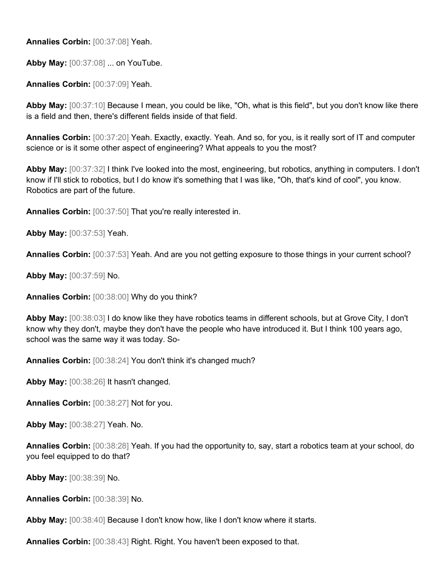**Annalies Corbin:** [00:37:08] Yeah.

**Abby May:** [00:37:08] ... on YouTube.

**Annalies Corbin:** [00:37:09] Yeah.

**Abby May:** [00:37:10] Because I mean, you could be like, "Oh, what is this field", but you don't know like there is a field and then, there's different fields inside of that field.

**Annalies Corbin:** [00:37:20] Yeah. Exactly, exactly. Yeah. And so, for you, is it really sort of IT and computer science or is it some other aspect of engineering? What appeals to you the most?

**Abby May:** [00:37:32] I think I've looked into the most, engineering, but robotics, anything in computers. I don't know if I'll stick to robotics, but I do know it's something that I was like, "Oh, that's kind of cool", you know. Robotics are part of the future.

**Annalies Corbin:** [00:37:50] That you're really interested in.

**Abby May:** [00:37:53] Yeah.

**Annalies Corbin:** [00:37:53] Yeah. And are you not getting exposure to those things in your current school?

**Abby May:** [00:37:59] No.

**Annalies Corbin:** [00:38:00] Why do you think?

**Abby May:** [00:38:03] I do know like they have robotics teams in different schools, but at Grove City, I don't know why they don't, maybe they don't have the people who have introduced it. But I think 100 years ago, school was the same way it was today. So-

**Annalies Corbin:** [00:38:24] You don't think it's changed much?

**Abby May:** [00:38:26] It hasn't changed.

**Annalies Corbin:** [00:38:27] Not for you.

**Abby May:** [00:38:27] Yeah. No.

**Annalies Corbin:** [00:38:28] Yeah. If you had the opportunity to, say, start a robotics team at your school, do you feel equipped to do that?

**Abby May:** [00:38:39] No.

**Annalies Corbin:** [00:38:39] No.

**Abby May:** [00:38:40] Because I don't know how, like I don't know where it starts.

**Annalies Corbin:** [00:38:43] Right. Right. You haven't been exposed to that.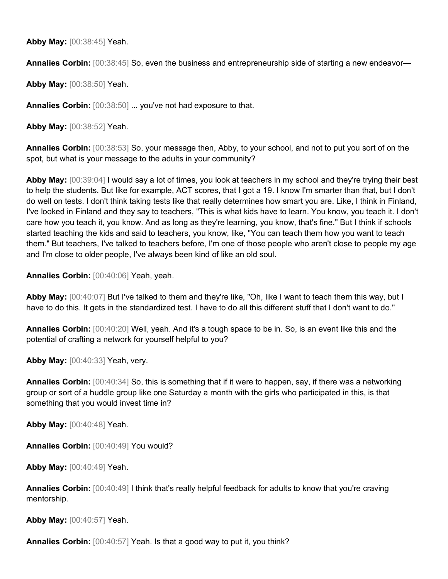**Abby May:** [00:38:45] Yeah.

**Annalies Corbin:** [00:38:45] So, even the business and entrepreneurship side of starting a new endeavor—

**Abby May:** [00:38:50] Yeah.

**Annalies Corbin:** [00:38:50] ... you've not had exposure to that.

**Abby May:** [00:38:52] Yeah.

**Annalies Corbin:** [00:38:53] So, your message then, Abby, to your school, and not to put you sort of on the spot, but what is your message to the adults in your community?

**Abby May:** [00:39:04] I would say a lot of times, you look at teachers in my school and they're trying their best to help the students. But like for example, ACT scores, that I got a 19. I know I'm smarter than that, but I don't do well on tests. I don't think taking tests like that really determines how smart you are. Like, I think in Finland, I've looked in Finland and they say to teachers, "This is what kids have to learn. You know, you teach it. I don't care how you teach it, you know. And as long as they're learning, you know, that's fine." But I think if schools started teaching the kids and said to teachers, you know, like, "You can teach them how you want to teach them." But teachers, I've talked to teachers before, I'm one of those people who aren't close to people my age and I'm close to older people, I've always been kind of like an old soul.

**Annalies Corbin:** [00:40:06] Yeah, yeah.

**Abby May:** [00:40:07] But I've talked to them and they're like, "Oh, like I want to teach them this way, but I have to do this. It gets in the standardized test. I have to do all this different stuff that I don't want to do."

**Annalies Corbin:** [00:40:20] Well, yeah. And it's a tough space to be in. So, is an event like this and the potential of crafting a network for yourself helpful to you?

**Abby May:** [00:40:33] Yeah, very.

**Annalies Corbin:** [00:40:34] So, this is something that if it were to happen, say, if there was a networking group or sort of a huddle group like one Saturday a month with the girls who participated in this, is that something that you would invest time in?

**Abby May:** [00:40:48] Yeah.

**Annalies Corbin:** [00:40:49] You would?

**Abby May:** [00:40:49] Yeah.

**Annalies Corbin:** [00:40:49] I think that's really helpful feedback for adults to know that you're craving mentorship.

**Abby May:** [00:40:57] Yeah.

**Annalies Corbin:** [00:40:57] Yeah. Is that a good way to put it, you think?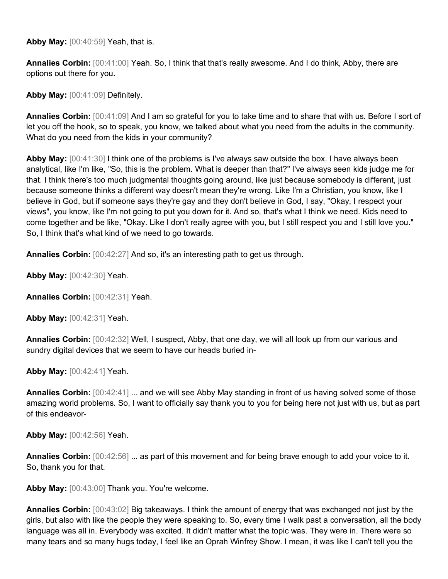**Abby May:** [00:40:59] Yeah, that is.

**Annalies Corbin:** [00:41:00] Yeah. So, I think that that's really awesome. And I do think, Abby, there are options out there for you.

**Abby May:** [00:41:09] Definitely.

**Annalies Corbin:** [00:41:09] And I am so grateful for you to take time and to share that with us. Before I sort of let you off the hook, so to speak, you know, we talked about what you need from the adults in the community. What do you need from the kids in your community?

**Abby May:** [00:41:30] I think one of the problems is I've always saw outside the box. I have always been analytical, like I'm like, "So, this is the problem. What is deeper than that?" I've always seen kids judge me for that. I think there's too much judgmental thoughts going around, like just because somebody is different, just because someone thinks a different way doesn't mean they're wrong. Like I'm a Christian, you know, like I believe in God, but if someone says they're gay and they don't believe in God, I say, "Okay, I respect your views", you know, like I'm not going to put you down for it. And so, that's what I think we need. Kids need to come together and be like, "Okay. Like I don't really agree with you, but I still respect you and I still love you." So, I think that's what kind of we need to go towards.

**Annalies Corbin:** [00:42:27] And so, it's an interesting path to get us through.

**Abby May:** [00:42:30] Yeah.

**Annalies Corbin:** [00:42:31] Yeah.

**Abby May:** [00:42:31] Yeah.

**Annalies Corbin:** [00:42:32] Well, I suspect, Abby, that one day, we will all look up from our various and sundry digital devices that we seem to have our heads buried in-

**Abby May:** [00:42:41] Yeah.

**Annalies Corbin:** [00:42:41] ... and we will see Abby May standing in front of us having solved some of those amazing world problems. So, I want to officially say thank you to you for being here not just with us, but as part of this endeavor-

**Abby May:** [00:42:56] Yeah.

**Annalies Corbin:** [00:42:56] ... as part of this movement and for being brave enough to add your voice to it. So, thank you for that.

Abby May: [00:43:00] Thank you. You're welcome.

**Annalies Corbin:** [00:43:02] Big takeaways. I think the amount of energy that was exchanged not just by the girls, but also with like the people they were speaking to. So, every time I walk past a conversation, all the body language was all in. Everybody was excited. It didn't matter what the topic was. They were in. There were so many tears and so many hugs today, I feel like an Oprah Winfrey Show. I mean, it was like I can't tell you the